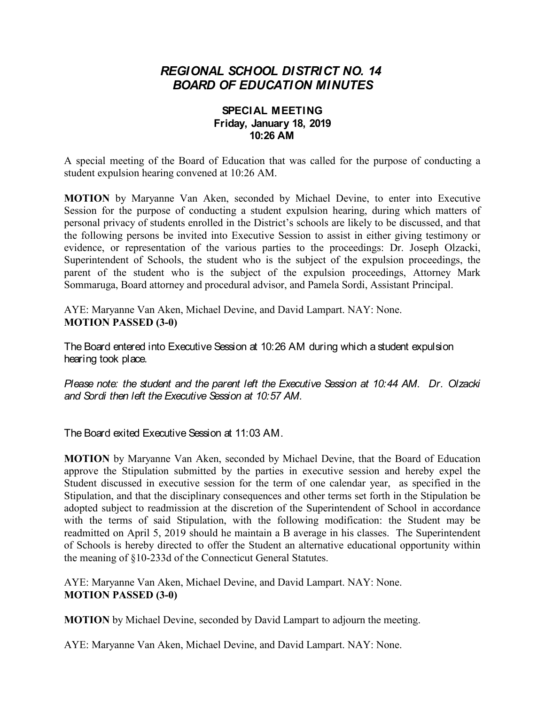## *REGIONAL SCHOOL DISTRICT NO. 14 BOARD OF EDUCATION MINUTES*

## **SPECIAL MEETING Friday, January 18, 2019 10:26 AM**

A special meeting of the Board of Education that was called for the purpose of conducting a student expulsion hearing convened at 10:26 AM.

**MOTION** by Maryanne Van Aken, seconded by Michael Devine, to enter into Executive Session for the purpose of conducting a student expulsion hearing, during which matters of personal privacy of students enrolled in the District's schools are likely to be discussed, and that the following persons be invited into Executive Session to assist in either giving testimony or evidence, or representation of the various parties to the proceedings: Dr. Joseph Olzacki, Superintendent of Schools, the student who is the subject of the expulsion proceedings, the parent of the student who is the subject of the expulsion proceedings, Attorney Mark Sommaruga, Board attorney and procedural advisor, and Pamela Sordi, Assistant Principal.

AYE: Maryanne Van Aken, Michael Devine, and David Lampart. NAY: None. **MOTION PASSED (3-0)**

The Board entered into Executive Session at 10:26 AM during which a student expulsion hearing took place.

*Please note: the student and the parent left the Executive Session at 10:44 AM*. *Dr. Olzacki and Sordi then left the Executive Session at 10:57 AM*.

The Board exited Executive Session at 11:03 AM.

**MOTION** by Maryanne Van Aken, seconded by Michael Devine, that the Board of Education approve the Stipulation submitted by the parties in executive session and hereby expel the Student discussed in executive session for the term of one calendar year, as specified in the Stipulation, and that the disciplinary consequences and other terms set forth in the Stipulation be adopted subject to readmission at the discretion of the Superintendent of School in accordance with the terms of said Stipulation, with the following modification: the Student may be readmitted on April 5, 2019 should he maintain a B average in his classes. The Superintendent of Schools is hereby directed to offer the Student an alternative educational opportunity within the meaning of §10-233d of the Connecticut General Statutes.

AYE: Maryanne Van Aken, Michael Devine, and David Lampart. NAY: None. **MOTION PASSED (3-0)**

**MOTION** by Michael Devine, seconded by David Lampart to adjourn the meeting.

AYE: Maryanne Van Aken, Michael Devine, and David Lampart. NAY: None.